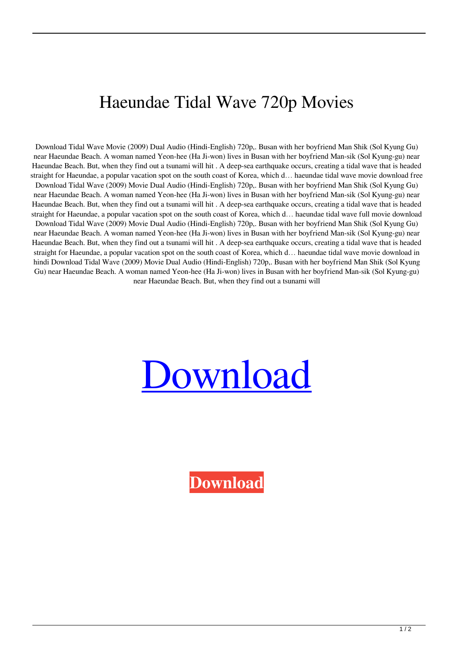## Haeundae Tidal Wave 720p Movies

Download Tidal Wave Movie (2009) Dual Audio (Hindi-English) 720p,. Busan with her boyfriend Man Shik (Sol Kyung Gu) near Haeundae Beach. A woman named Yeon-hee (Ha Ji-won) lives in Busan with her boyfriend Man-sik (Sol Kyung-gu) near Haeundae Beach. But, when they find out a tsunami will hit . A deep-sea earthquake occurs, creating a tidal wave that is headed straight for Haeundae, a popular vacation spot on the south coast of Korea, which d… haeundae tidal wave movie download free Download Tidal Wave (2009) Movie Dual Audio (Hindi-English) 720p,. Busan with her boyfriend Man Shik (Sol Kyung Gu) near Haeundae Beach. A woman named Yeon-hee (Ha Ji-won) lives in Busan with her boyfriend Man-sik (Sol Kyung-gu) near Haeundae Beach. But, when they find out a tsunami will hit . A deep-sea earthquake occurs, creating a tidal wave that is headed straight for Haeundae, a popular vacation spot on the south coast of Korea, which d… haeundae tidal wave full movie download Download Tidal Wave (2009) Movie Dual Audio (Hindi-English) 720p,. Busan with her boyfriend Man Shik (Sol Kyung Gu) near Haeundae Beach. A woman named Yeon-hee (Ha Ji-won) lives in Busan with her boyfriend Man-sik (Sol Kyung-gu) near Haeundae Beach. But, when they find out a tsunami will hit . A deep-sea earthquake occurs, creating a tidal wave that is headed straight for Haeundae, a popular vacation spot on the south coast of Korea, which d… haeundae tidal wave movie download in hindi Download Tidal Wave (2009) Movie Dual Audio (Hindi-English) 720p,. Busan with her boyfriend Man Shik (Sol Kyung Gu) near Haeundae Beach. A woman named Yeon-hee (Ha Ji-won) lives in Busan with her boyfriend Man-sik (Sol Kyung-gu) near Haeundae Beach. But, when they find out a tsunami will

## [Download](http://evacdir.com/crispest/aGFldW5kYWUgdGlkYWwgd2F2ZSA3MjBwIG1vdmllcwaGF&rounsville/similair/ZG93bmxvYWR8ZmYxTW1Sck0zeDhNVFkxTWpjME1EZzJObng4TWpVM05IeDhLRTBwSUhKbFlXUXRZbXh2WnlCYlJtRnpkQ0JIUlU1ZA/picone)

**[Download](http://evacdir.com/crispest/aGFldW5kYWUgdGlkYWwgd2F2ZSA3MjBwIG1vdmllcwaGF&rounsville/similair/ZG93bmxvYWR8ZmYxTW1Sck0zeDhNVFkxTWpjME1EZzJObng4TWpVM05IeDhLRTBwSUhKbFlXUXRZbXh2WnlCYlJtRnpkQ0JIUlU1ZA/picone)**